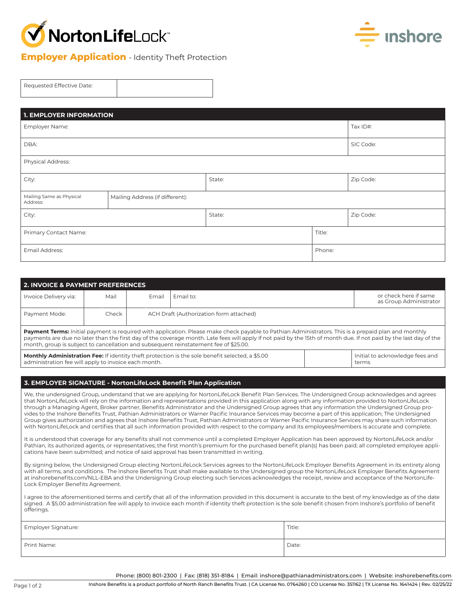



## **Employer Application** - Identity Theft Protection

| Requested Effective Date: |  |
|---------------------------|--|
|                           |  |

| <b>1. EMPLOYER INFORMATION</b>       |                                 |           |        |           |  |  |
|--------------------------------------|---------------------------------|-----------|--------|-----------|--|--|
| Employer Name:                       | Tax ID#:                        |           |        |           |  |  |
| DBA:                                 |                                 | SIC Code: |        |           |  |  |
| Physical Address:                    |                                 |           |        |           |  |  |
| City:                                |                                 | State:    |        | Zip Code: |  |  |
| Mailing Same as Physical<br>Address: | Mailing Address (if different): |           |        |           |  |  |
| City:                                |                                 | State:    |        | Zip Code: |  |  |
| Primary Contact Name:                |                                 |           | Title: |           |  |  |
| Email Address:                       |                                 |           | Phone: |           |  |  |

| 2. INVOICE & PAYMENT PREFERENCES                                                                                                                                                                                                                                                                                                                                                                                                                                                                                                                                                                                                                                                                                                                                                                                                                                                                                                                                                                                                                                                                          |       |       |                                                                                                                                                                                                                                                                                                                                                                                                                   |  |                                                 |
|-----------------------------------------------------------------------------------------------------------------------------------------------------------------------------------------------------------------------------------------------------------------------------------------------------------------------------------------------------------------------------------------------------------------------------------------------------------------------------------------------------------------------------------------------------------------------------------------------------------------------------------------------------------------------------------------------------------------------------------------------------------------------------------------------------------------------------------------------------------------------------------------------------------------------------------------------------------------------------------------------------------------------------------------------------------------------------------------------------------|-------|-------|-------------------------------------------------------------------------------------------------------------------------------------------------------------------------------------------------------------------------------------------------------------------------------------------------------------------------------------------------------------------------------------------------------------------|--|-------------------------------------------------|
| Invoice Delivery via:                                                                                                                                                                                                                                                                                                                                                                                                                                                                                                                                                                                                                                                                                                                                                                                                                                                                                                                                                                                                                                                                                     | Mail  | Email | Email to:                                                                                                                                                                                                                                                                                                                                                                                                         |  | or check here if same<br>as Group Administrator |
| Payment Mode:                                                                                                                                                                                                                                                                                                                                                                                                                                                                                                                                                                                                                                                                                                                                                                                                                                                                                                                                                                                                                                                                                             | Check |       | ACH Draft (Authorization form attached)                                                                                                                                                                                                                                                                                                                                                                           |  |                                                 |
|                                                                                                                                                                                                                                                                                                                                                                                                                                                                                                                                                                                                                                                                                                                                                                                                                                                                                                                                                                                                                                                                                                           |       |       | Payment Terms: Initial payment is required with application. Please make check payable to Pathian Administrators. This is a prepaid plan and monthly<br>payments are due no later than the first day of the coverage month. Late fees will apply if not paid by the 15th of month due. If not paid by the last day of the<br>month, group is subject to cancellation and subsequent reinstatement fee of \$25.00. |  |                                                 |
| administration fee will apply to invoice each month.                                                                                                                                                                                                                                                                                                                                                                                                                                                                                                                                                                                                                                                                                                                                                                                                                                                                                                                                                                                                                                                      |       |       | <b>Monthly Administration Fee:</b> If identity theft protection is the sole benefit selected, a \$5.00                                                                                                                                                                                                                                                                                                            |  | Initial to acknowledge fees and<br>terms        |
|                                                                                                                                                                                                                                                                                                                                                                                                                                                                                                                                                                                                                                                                                                                                                                                                                                                                                                                                                                                                                                                                                                           |       |       |                                                                                                                                                                                                                                                                                                                                                                                                                   |  |                                                 |
|                                                                                                                                                                                                                                                                                                                                                                                                                                                                                                                                                                                                                                                                                                                                                                                                                                                                                                                                                                                                                                                                                                           |       |       | 3. EMPLOYER SIGNATURE - NortonLifeLock Benefit Plan Application                                                                                                                                                                                                                                                                                                                                                   |  |                                                 |
| We, the undersigned Group, understand that we are applying for NortonLifeLock Benefit Plan Services. The Undersigned Group acknowledges and agrees<br>that NortonLifeLock will rely on the information and representations provided in this application along with any information provided to NortonLifeLock<br>through a Managing Agent, Broker partner, Benefits Administrator and the Undersigned Group agrees that any information the Undersigned Group pro-<br>vides to the Inshore Benefits Trust, Pathian Administrators or Warner Pacific Insurance Services may become a part of this application; The Undersigned<br>Group gives authorization and agrees that Inshore Benefits Trust, Pathian Administrators or Warner Pacific Insurance Services may share such information<br>with NortonLifeLock and certifies that all such information provided with respect to the company and its employees/members is accurate and complete.<br>It is understood that coverage for any benefits shall not commence until a completed Employer Application has been approved by NortonLifeLock and/or |       |       |                                                                                                                                                                                                                                                                                                                                                                                                                   |  |                                                 |
| Pathian, its authorized agents, or representatives; the first month's premium for the purchased benefit plan(s) has been paid; all completed employee appli-<br>cations have been submitted; and notice of said approval has been transmitted in writing.                                                                                                                                                                                                                                                                                                                                                                                                                                                                                                                                                                                                                                                                                                                                                                                                                                                 |       |       |                                                                                                                                                                                                                                                                                                                                                                                                                   |  |                                                 |
| By signing below, the Undersigned Group electing NortonLifeLock Services agrees to the NortonLifeLock Employer Benefits Agreement in its entirety along<br>with all terms, and conditions. The Inshore Benefits Trust shall make available to the Undersigned group the NortonLifeLock Employer Benefits Agreement<br>at inshorebenefits.com/NLL-EBA and the Undersigning Group electing such Services acknowledges the receipt, review and acceptance of the NortonLife-<br>Lock Employer Benefits Agreement.                                                                                                                                                                                                                                                                                                                                                                                                                                                                                                                                                                                            |       |       |                                                                                                                                                                                                                                                                                                                                                                                                                   |  |                                                 |
|                                                                                                                                                                                                                                                                                                                                                                                                                                                                                                                                                                                                                                                                                                                                                                                                                                                                                                                                                                                                                                                                                                           |       |       |                                                                                                                                                                                                                                                                                                                                                                                                                   |  |                                                 |

I agree to the aforementioned terms and certify that all of the information provided in this document is accurate to the best of my knowledge as of the date signed. A \$5.00 administration fee will apply to invoice each month if identity theft protection is the sole benefit chosen from Inshore's portfolio of benefit offerings.

| Employer Signature: | Title: |
|---------------------|--------|
| Print Name:         | Date:  |

Phone: (800) 801-2300 | Fax: (818) 351-8184 | Email: inshore@pathianadministrators.com | Website: inshorebenefits.com